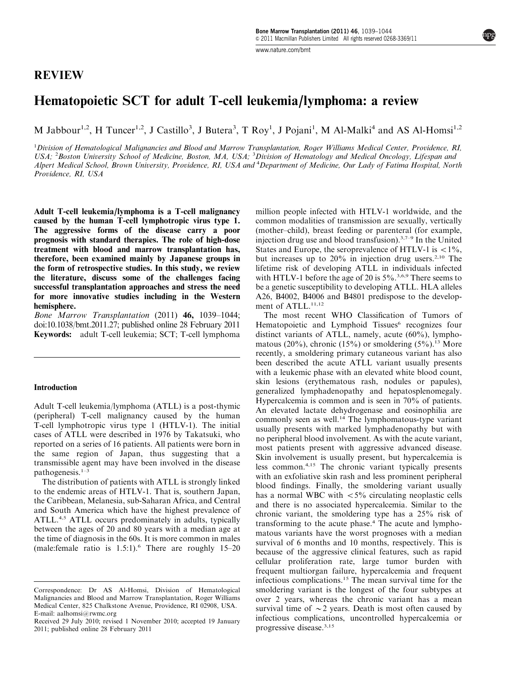# REVIEW

[www.nature.com/bmt](http://www.nature.com/bmt)

# Hematopoietic SCT for adult T-cell leukemia/lymphoma: a review

M Jabbour<sup>1,2</sup>, H Tuncer<sup>1,2</sup>, J Castillo<sup>3</sup>, J Butera<sup>3</sup>, T Roy<sup>1</sup>, J Pojani<sup>1</sup>, M Al-Malki<sup>4</sup> and AS Al-Homsi<sup>1,2</sup>

<sup>1</sup>Division of Hematological Malignancies and Blood and Marrow Transplantation, Roger Williams Medical Center, Providence, RI, USA; <sup>2</sup>Boston University School of Medicine, Boston, MA, USA; <sup>3</sup>Division of Hematology and Medical Oncology, Lifespan ana Alpert Medical School, Brown University, Providence, RI, USA and <sup>4</sup> Department of Medicine, Our Lady of Fatima Hospital, North Providence, RI, USA

Adult T-cell leukemia/lymphoma is a T-cell malignancy caused by the human T-cell lymphotropic virus type 1. The aggressive forms of the disease carry a poor prognosis with standard therapies. The role of high-dose treatment with blood and marrow transplantation has, therefore, been examined mainly by Japanese groups in the form of retrospective studies. In this study, we review the literature, discuss some of the challenges facing successful transplantation approaches and stress the need for more innovative studies including in the Western hemisphere.

Bone Marrow Transplantation (2011) 46, 1039–1044; doi[:10.1038/bmt.2011.27;](http://dx.doi.org/10.1038/bmt.2011.27) published online 28 February 2011 Keywords: adult T-cell leukemia; SCT; T-cell lymphoma

#### Introduction

Adult T-cell leukemia/lymphoma (ATLL) is a post-thymic (peripheral) T-cell malignancy caused by the human T-cell lymphotropic virus type 1 (HTLV-1). The initial cases of ATLL were described in 1976 by Takatsuki, who reported on a series of 16 patients. All patients were born in the same region of Japan, thus suggesting that a transmissible agent may have been involved in the disease pathogenesis.[1–3](#page-4-0)

The distribution of patients with ATLL is strongly linked to the endemic areas of HTLV-1. That is, southern Japan, the Caribbean, Melanesia, sub-Saharan Africa, and Central and South America which have the highest prevalence of ATLL.<sup>[4,5](#page-4-0)</sup> ATLL occurs predominately in adults, typically between the ages of 20 and 80 years with a median age at the time of diagnosis in the 60s. It is more common in males (male:female ratio is  $1.5:1$ ).<sup>[6](#page-4-0)</sup> There are roughly  $15-20$  million people infected with HTLV-1 worldwide, and the common modalities of transmission are sexually, vertically (mother–child), breast feeding or parenteral (for example, injection drug use and blood transfusion). $3,7-9$  In the United States and Europe, the seroprevalence of HTLV-1 is  $\langle 1\% \rangle$ . but increases up to  $20\%$  in injection drug users.<sup>[2,10](#page-4-0)</sup> The lifetime risk of developing ATLL in individuals infected with HTLV-1 before the age of 20 is  $5\%$ .<sup>[3,6,9](#page-4-0)</sup> There seems to be a genetic susceptibility to developing ATLL. HLA alleles A26, B4002, B4006 and B4801 predispose to the develop-ment of ATLL.<sup>[11,12](#page-4-0)</sup>

The most recent WHO Classification of Tumors of Hematopoietic and Lymphoid Tissues<sup>[6](#page-4-0)</sup> recognizes four distinct variants of ATLL, namely, acute (60%), lymphomatous (20%), chronic (15%) or smoldering  $(5\%)$ .<sup>13</sup> More recently, a smoldering primary cutaneous variant has also been described the acute ATLL variant usually presents with a leukemic phase with an elevated white blood count, skin lesions (erythematous rash, nodules or papules), generalized lymphadenopathy and hepatosplenomegaly. Hypercalcemia is common and is seen in 70% of patients. An elevated lactate dehydrogenase and eosinophilia are commonly seen as well.<sup>[14](#page-4-0)</sup> The lymphomatous-type variant usually presents with marked lymphadenopathy but with no peripheral blood involvement. As with the acute variant, most patients present with aggressive advanced disease. Skin involvement is usually present, but hypercalcemia is less common.[4,15](#page-4-0) The chronic variant typically presents with an exfoliative skin rash and less prominent peripheral blood findings. Finally, the smoldering variant usually has a normal WBC with  $\langle 5\%$  circulating neoplastic cells and there is no associated hypercalcemia. Similar to the chronic variant, the smoldering type has a 25% risk of transforming to the acute phase.[4](#page-4-0) The acute and lymphomatous variants have the worst prognoses with a median survival of 6 months and 10 months, respectively. This is because of the aggressive clinical features, such as rapid cellular proliferation rate, large tumor burden with frequent multiorgan failure, hypercalcemia and frequent infectious complications.[15](#page-4-0) The mean survival time for the smoldering variant is the longest of the four subtypes at over 2 years, whereas the chronic variant has a mean survival time of  $\sim$  2 years. Death is most often caused by infectious complications, uncontrolled hypercalcemia or

Correspondence: Dr AS Al-Homsi, Division of Hematological Malignancies and Blood and Marrow Transplantation, Roger Williams Medical Center, 825 Chalkstone Avenue, Providence, RI 02908, USA. E-mail: [aalhomsi@rwmc.org](mailto:aalhomsi@rwmc.org)

Received 29 July 2010; revised 1 November 2010; accepted 19 January and the complication in 2011: published online 28 February 2011 2011; published online 28 February 2011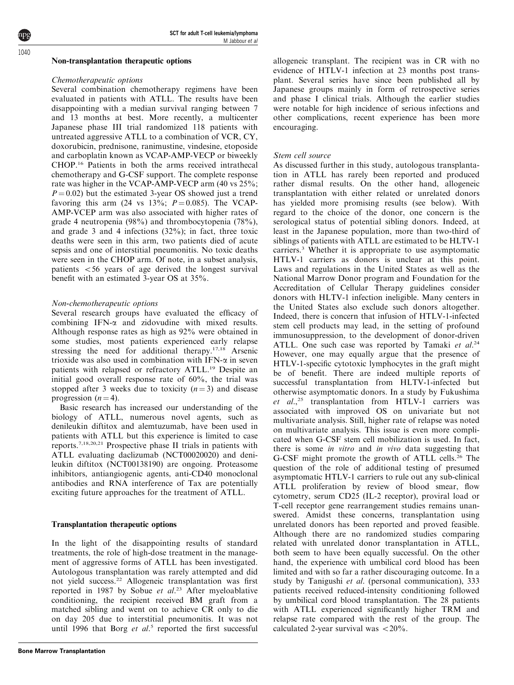### Non-transplantation therapeutic options

#### Chemotherapeutic options

Several combination chemotherapy regimens have been evaluated in patients with ATLL. The results have been disappointing with a median survival ranging between 7 and 13 months at best. More recently, a multicenter Japanese phase III trial randomized 118 patients with untreated aggressive ATLL to a combination of VCR, CY, doxorubicin, prednisone, ranimustine, vindesine, etoposide and carboplatin known as VCAP-AMP-VECP or biweekly CHOP.[16](#page-4-0) Patients in both the arms received intrathecal chemotherapy and G-CSF support. The complete response rate was higher in the VCAP-AMP-VECP arm (40 vs 25%;  $P = 0.02$ ) but the estimated 3-year OS showed just a trend favoring this arm (24 vs  $13\%$ ;  $P = 0.085$ ). The VCAP-AMP-VCEP arm was also associated with higher rates of grade 4 neutropenia (98%) and thrombocytopenia (78%), and grade 3 and 4 infections (32%); in fact, three toxic deaths were seen in this arm, two patients died of acute sepsis and one of interstitial pneumonitis. No toxic deaths were seen in the CHOP arm. Of note, in a subset analysis, patients  $<$  56 years of age derived the longest survival benefit with an estimated 3-year OS at 35%.

### Non-chemotherapeutic options

Several research groups have evaluated the efficacy of combining  $IFN-\alpha$  and zidovudine with mixed results. Although response rates as high as 92% were obtained in some studies, most patients experienced early relapse stressing the need for additional therapy.<sup>17,18</sup> Arsenic trioxide was also used in combination with IFN- $\alpha$  in seven patients with relapsed or refractory ATLL.[19](#page-4-0) Despite an initial good overall response rate of 60%, the trial was stopped after 3 weeks due to toxicity  $(n = 3)$  and disease progression  $(n = 4)$ .

Basic research has increased our understanding of the biology of ATLL, numerous novel agents, such as denileukin diftitox and alemtuzumab, have been used in patients with ATLL but this experience is limited to case reports.[7,18,20,21](#page-4-0) Prospective phase II trials in patients with ATLL evaluating daclizumab (NCT00020020) and denileukin diftitox (NCT00138190) are ongoing. Proteasome inhibitors, antiangiogenic agents, anti-CD40 monoclonal antibodies and RNA interference of Tax are potentially exciting future approaches for the treatment of ATLL.

### Transplantation therapeutic options

In the light of the disappointing results of standard treatments, the role of high-dose treatment in the management of aggressive forms of ATLL has been investigated. Autologous transplantation was rarely attempted and did not yield success.[22](#page-4-0) Allogeneic transplantation was first reported in 1987 by Sobue et al.<sup>[23](#page-4-0)</sup> After myeloablative conditioning, the recipient received BM graft from a matched sibling and went on to achieve CR only to die on day 205 due to interstitial pneumonitis. It was not until 1996 that Borg  $et$   $al.5$  $al.5$  reported the first successful

allogeneic transplant. The recipient was in CR with no evidence of HTLV-1 infection at 23 months post transplant. Several series have since been published all by Japanese groups mainly in form of retrospective series and phase I clinical trials. Although the earlier studies were notable for high incidence of serious infections and other complications, recent experience has been more encouraging.

### Stem cell source

As discussed further in this study, autologous transplantation in ATLL has rarely been reported and produced rather dismal results. On the other hand, allogeneic transplantation with either related or unrelated donors has yielded more promising results (see below). With regard to the choice of the donor, one concern is the serological status of potential sibling donors. Indeed, at least in the Japanese population, more than two-third of siblings of patients with ATLL are estimated to be HLTV-1 carriers.[3](#page-4-0) Whether it is appropriate to use asymptomatic HTLV-1 carriers as donors is unclear at this point. Laws and regulations in the United States as well as the National Marrow Donor program and Foundation for the Accreditation of Cellular Therapy guidelines consider donors with HLTV-1 infection ineligible. Many centers in the United States also exclude such donors altogether. Indeed, there is concern that infusion of HTLV-1-infected stem cell products may lead, in the setting of profound immunosuppression, to the development of donor-driven ATLL. One such case was reported by Tamaki et  $al^{24}$  $al^{24}$  $al^{24}$ However, one may equally argue that the presence of HTLV-1-specific cytotoxic lymphocytes in the graft might be of benefit. There are indeed multiple reports of successful transplantation from HLTV-1-infected but otherwise asymptomatic donors. In a study by Fukushima et  $al.^{25}$  $al.^{25}$  $al.^{25}$  transplantation from HTLV-1 carriers was associated with improved OS on univariate but not multivariate analysis. Still, higher rate of relapse was noted on multivariate analysis. This issue is even more complicated when G-CSF stem cell mobilization is used. In fact, there is some in vitro and in vivo data suggesting that G-CSF might promote the growth of ATLL cells.[26](#page-4-0) The question of the role of additional testing of presumed asymptomatic HTLV-1 carriers to rule out any sub-clinical ATLL proliferation by review of blood smear, flow cytometry, serum CD25 (IL-2 receptor), proviral load or T-cell receptor gene rearrangement studies remains unanswered. Amidst these concerns, transplantation using unrelated donors has been reported and proved feasible. Although there are no randomized studies comparing related with unrelated donor transplantation in ATLL, both seem to have been equally successful. On the other hand, the experience with umbilical cord blood has been limited and with so far a rather discouraging outcome. In a study by Tanigushi et al. (personal communication), 333 patients received reduced-intensity conditioning followed by umbilical cord blood transplantation. The 28 patients with ATLL experienced significantly higher TRM and relapse rate compared with the rest of the group. The calculated 2-year survival was  $\langle 20\% \rangle$ .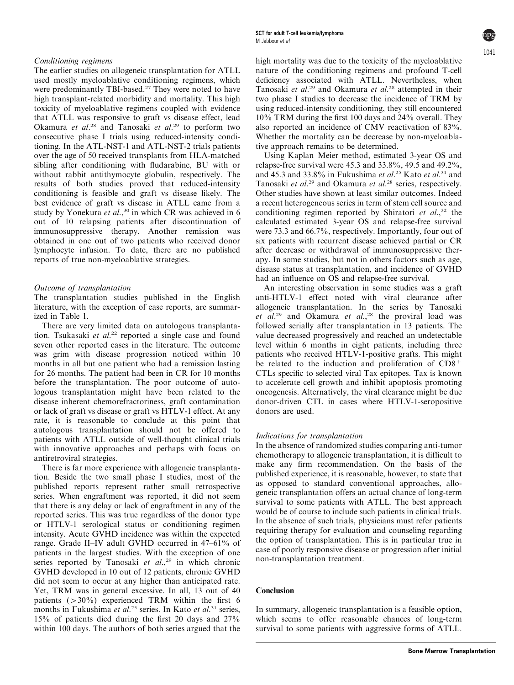# Conditioning regimens

The earlier studies on allogeneic transplantation for ATLL used mostly myeloablative conditioning regimens, which were predominantly TBI-based.<sup>27</sup> They were noted to have high transplant-related morbidity and mortality. This high toxicity of myeloablative regimens coupled with evidence that ATLL was responsive to graft vs disease effect, lead Okamura et al.<sup>[28](#page-5-0)</sup> and Tanosaki et al.<sup>[29](#page-5-0)</sup> to perform two consecutive phase I trials using reduced-intensity conditioning. In the ATL-NST-1 and ATL-NST-2 trials patients over the age of 50 received transplants from HLA-matched sibling after conditioning with fludarabine, BU with or without rabbit antithymocyte globulin, respectively. The results of both studies proved that reduced-intensity conditioning is feasible and graft vs disease likely. The best evidence of graft vs disease in ATLL came from a study by Yonekura et  $al$ ,<sup>30</sup> in which CR was achieved in 6 out of 10 relapsing patients after discontinuation of immunosuppressive therapy. Another remission was obtained in one out of two patients who received donor lymphocyte infusion. To date, there are no published reports of true non-myeloablative strategies.

# Outcome of transplantation

The transplantation studies published in the English literature, with the exception of case reports, are summarized in [Table 1](#page-3-0).

There are very limited data on autologous transplanta-tion. Tsukasaki et al.<sup>[22](#page-4-0)</sup> reported a single case and found seven other reported cases in the literature. The outcome was grim with disease progression noticed within 10 months in all but one patient who had a remission lasting for 26 months. The patient had been in CR for 10 months before the transplantation. The poor outcome of autologous transplantation might have been related to the disease inherent chemorefractoriness, graft contamination or lack of graft vs disease or graft vs HTLV-1 effect. At any rate, it is reasonable to conclude at this point that autologous transplantation should not be offered to patients with ATLL outside of well-thought clinical trials with innovative approaches and perhaps with focus on antiretroviral strategies.

There is far more experience with allogeneic transplantation. Beside the two small phase I studies, most of the published reports represent rather small retrospective series. When engraftment was reported, it did not seem that there is any delay or lack of engraftment in any of the reported series. This was true regardless of the donor type or HTLV-1 serological status or conditioning regimen intensity. Acute GVHD incidence was within the expected range. Grade II–IV adult GVHD occurred in 47–61% of patients in the largest studies. With the exception of one series reported by Tanosaki et al.,<sup>[29](#page-5-0)</sup> in which chronic GVHD developed in 10 out of 12 patients, chronic GVHD did not seem to occur at any higher than anticipated rate. Yet, TRM was in general excessive. In all, 13 out of 40 patients  $(>30\%)$  experienced TRM within the first 6 months in Fukushima et  $al.^{25}$  $al.^{25}$  $al.^{25}$  series. In Kato et  $al.^{31}$  $al.^{31}$  $al.^{31}$  series, 15% of patients died during the first 20 days and 27% within 100 days. The authors of both series argued that the  $104$ 

high mortality was due to the toxicity of the myeloablative nature of the conditioning regimens and profound T-cell deficiency associated with ATLL. Nevertheless, when Tanosaki et al.<sup>[29](#page-5-0)</sup> and Okamura et al.<sup>[28](#page-5-0)</sup> attempted in their two phase I studies to decrease the incidence of TRM by using reduced-intensity conditioning, they still encountered 10% TRM during the first 100 days and 24% overall. They also reported an incidence of CMV reactivation of 83%. Whether the mortality can be decrease by non-myeloablative approach remains to be determined.

Using Kaplan–Meier method, estimated 3-year OS and relapse-free survival were 45.3 and 33.8%, 49.5 and 49.2%, and 45.3 and 33.8% in Fukushima et al.<sup>[25](#page-4-0)</sup> Kato et al.<sup>[31](#page-5-0)</sup> and Tanosaki et al.<sup>[29](#page-5-0)</sup> and Okamura et al.<sup>[28](#page-5-0)</sup> series, respectively. Other studies have shown at least similar outcomes. Indeed a recent heterogeneous series in term of stem cell source and conditioning regimen reported by Shiratori et  $al$ ,<sup>[32](#page-5-0)</sup> the calculated estimated 3-year OS and relapse-free survival were 73.3 and 66.7%, respectively. Importantly, four out of six patients with recurrent disease achieved partial or CR after decrease or withdrawal of immunosuppressive therapy. In some studies, but not in others factors such as age, disease status at transplantation, and incidence of GVHD had an influence on OS and relapse-free survival.

An interesting observation in some studies was a graft anti-HTLV-1 effect noted with viral clearance after allogeneic transplantation. In the series by Tanosaki et  $al.^{29}$  $al.^{29}$  $al.^{29}$  and Okamura et  $al.^{28}$  $al.^{28}$  $al.^{28}$  the proviral load was followed serially after transplantation in 13 patients. The value decreased progressively and reached an undetectable level within 6 months in eight patients, including three patients who received HTLV-1-positive grafts. This might be related to the induction and proliferation of  $CD8<sup>+</sup>$ CTLs specific to selected viral Tax epitopes. Tax is known to accelerate cell growth and inhibit apoptosis promoting oncogenesis. Alternatively, the viral clearance might be due donor-driven CTL in cases where HTLV-1-seropositive donors are used.

### Indications for transplantation

In the absence of randomized studies comparing anti-tumor chemotherapy to allogeneic transplantation, it is difficult to make any firm recommendation. On the basis of the published experience, it is reasonable, however, to state that as opposed to standard conventional approaches, allogeneic transplantation offers an actual chance of long-term survival to some patients with ATLL. The best approach would be of course to include such patients in clinical trials. In the absence of such trials, physicians must refer patients requiring therapy for evaluation and counseling regarding the option of transplantation. This is in particular true in case of poorly responsive disease or progression after initial non-transplantation treatment.

### **Conclusion**

In summary, allogeneic transplantation is a feasible option, which seems to offer reasonable chances of long-term survival to some patients with aggressive forms of ATLL.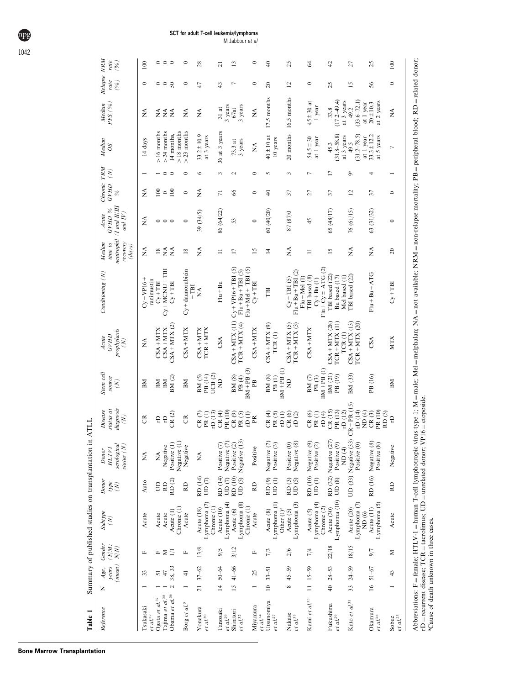| Table 1                          |                 |                                   |                 | Summary of published studies on transplantation in |                                     |                                               | ATLL                                                             |                                                    |                                                          |                                              |                                                       |                                                       |                     |                 |                               |                               |                                  |                   |
|----------------------------------|-----------------|-----------------------------------|-----------------|----------------------------------------------------|-------------------------------------|-----------------------------------------------|------------------------------------------------------------------|----------------------------------------------------|----------------------------------------------------------|----------------------------------------------|-------------------------------------------------------|-------------------------------------------------------|---------------------|-----------------|-------------------------------|-------------------------------|----------------------------------|-------------------|
| Reference                        | Z               | $(mean)$ $N/N$ )<br>years<br>Age, | Gender<br>(F/M) | Subtype<br>$\tilde{\epsilon}$                      | Donor<br>type<br>$\tilde{N}$        | serological<br>status $(N)$<br>HLTVI<br>Donor | liagnosis<br>status at<br>Disease<br>$\left( \mathcal{N}\right)$ | Stem cell<br>source<br>$\left( \mathcal{N}\right)$ | prophylaxis<br><b>GVHD</b><br>Acute<br>$\left( N\right)$ | Conditioning (N)                             | neutrophil<br>recovery<br>Median<br>time to<br>(days) | $($ I and $I\!I$ $I\!I$<br>GVHD %<br>and IV)<br>Acute | Chronic TRM<br>GVHD | $\mathcal{E}$   | Median<br>SO                  | PFS (%<br>Median              | Relapse NRM<br>rate<br>$($ % $)$ | rate<br>$($ % $)$ |
| Tsukasaki<br>$et\ al.^{22}$      |                 | 33                                | щ               | Acute                                              | Auto                                | $\tilde{\ge}$                                 | g                                                                | ВM                                                 | $\tilde{z}$                                              | $C_y + VP16 +$<br>ranimustin                 | É                                                     | ≸                                                     | Ź                   |                 | 14 days                       | ₹                             | $\circ$                          | 100               |
| Ogata et $al^{37}$               |                 | 5                                 |                 | Acute                                              | $\Xi$                               | Ź                                             | Ë                                                                | BM                                                 | $CSA + MTX$                                              | $C_Y + TBI$                                  | $\overline{18}$                                       |                                                       | 100                 |                 | $>16$ months                  |                               |                                  |                   |
| Tajima et al. <sup>38</sup>      |                 | 47                                | Σ               | Acute                                              | RD                                  | Negative                                      | $\rm \Xi$                                                        | BM                                                 | $CSA + MTX$                                              | $Cy + MCNU + TBI$                            | $\tilde{\mathbf{z}}$                                  | $\circ \circ \circ$                                   | $\circ$             | $\circ$         | $>$ 24 months                 | ≨≨≨                           | ం ఇ                              | 000               |
| Obama et $al$ . <sup>36</sup>    |                 | 38, 33                            | Ξ               | Chronic (1)<br>Acute (1)                           | $\mathop{\rm RD}\nolimits(2)$       | Negative (1)<br>Positive (1)                  | CR(2)                                                            | BM (2)                                             | $CSA + MTX (2)$                                          | $Cy + TBI$                                   | $\tilde{z}$                                           |                                                       | 100                 | $\circ$         | $>18$ months<br>14 months,    |                               |                                  |                   |
| Borg et al. <sup>5</sup>         |                 | $\frac{1}{4}$                     | щ               | Acute                                              | RD                                  | Negative                                      | $\mathfrak{S}$                                                   | BМ                                                 | $CSA + MTX$                                              | $Cy + d$ aunorubicin<br>$+TT$                | $^{18}$                                               | $\circ$                                               | $\circ$             | $\circ$         | $>23$ months                  | Ž                             | $\circ$                          | $\circ$           |
| Yonekura                         | $\overline{21}$ | $37 - 62$                         | 13/8            | Acute (18)                                         | RD (14)                             | ≸                                             | CR(7)                                                            | BM(5)                                              | $CSA + MTX$                                              | ≸                                            | ≸                                                     | 39 (34/5)                                             | ≸                   | $\circ$         | $33.2 \pm 10.9$               | ≸                             | 47                               | $\frac{8}{3}$     |
| $et\ al.$ $^{30}$                |                 |                                   |                 | Lymphoma <sub>(2)</sub><br>Chronic (1)             | UD (7)                              |                                               | rD(13)<br>PR(1)                                                  | UCB $(2)$<br>PB (14)                               | $TCR + MTX$                                              |                                              |                                                       |                                                       |                     |                 | at 3 years                    |                               |                                  |                   |
| Tanosaki                         | $\overline{4}$  | 50-64                             | 9/5             | Acute (10)                                         | RD (14)                             | Positive (7)                                  | CR(4)                                                            | g                                                  | CSA                                                      | $Flu + Bu$                                   | $\equiv$                                              | 86 (64/22)                                            | 11                  | 3               | 36 at 3 years                 | $31$ at                       | $\theta$                         | ಸ                 |
| et al. <sup>29</sup>             |                 |                                   |                 | Lymphoma <sub>(4)</sub>                            | UD $(7)$                            | Negative (7)                                  | PR (10)                                                          |                                                    |                                                          |                                              |                                                       |                                                       |                     |                 |                               | 3 years                       |                                  |                   |
| Shiratori                        | $15 \,$         | $41 - 66$                         | 3/12            | Acute (6)                                          | RD (10)                             | Positive (2)                                  | $\mathrm{CR}\left( 9\right)$                                     | BM (8)                                             | $CSA + MTX$ (11)                                         | $C_V+VP16+THS$                               | $\overline{17}$                                       | 53                                                    | 8                   | $\mathbf{\sim}$ | $73.3$ at                     | 67at                          | Γ                                | $\mathbf{r}$      |
| et al. <sup>32</sup>             |                 |                                   |                 | Lymphoma <sub>(8)</sub><br>Chronic (1)             | UD $(5)$                            | Negative (13)                                 | PR(5)                                                            | $BM + PB (3)$<br>PB <sup>(4)</sup>                 | $TCR + MTX(4)$                                           | $Flu + Mel + TH (5)$<br>$Flu + Bu + TBI (5)$ |                                                       |                                                       |                     |                 | 3 years                       | 3 years                       |                                  |                   |
| Miyamura<br>et al. <sup>34</sup> |                 | 25                                | щ               | Acute                                              | RD                                  | Positive                                      | $\frac{1}{2}$ OR                                                 | Ê                                                  | $CSA + MTX$                                              | $Cy + TBI$                                   | $\overline{15}$                                       | $\circ$                                               | $\circ$             | $\circ$         | ≸                             | Ź                             | $\circ$                          | 0                 |
| Utsunomiya                       | $\approx$       | $33 - 51$                         | 7/3             | Acute (8)                                          | RD <sup>(9)</sup>                   | Negative <sub>(7)</sub>                       | CR(4)                                                            | BM (8)                                             | $CSA + MTX(9)$                                           | ΓBI                                          | $\overline{4}$                                        | 60(40/20)                                             | $\Theta$            | 5               | $40 \pm 10$ at                | 17.5 months                   | $\Omega$                         | $\Theta$          |
| et al. <sup>27</sup>             |                 |                                   |                 | Lymphoma <sub>(1)</sub><br>Other (1) <sup>a</sup>  | UD $(1)$                            | Positive (3)                                  | $\overline{\text{tD}}$ (l)<br>PR(5)                              | $BM + PB (1)$<br>PB(1)                             | TCR(1)                                                   |                                              |                                                       |                                                       |                     |                 | 10 years                      |                               |                                  |                   |
| Nakase                           | ∞               | $45 - 59$                         | 2/6             | Acute (5)                                          | $\mathop{\mathrm{RD}}\nolimits$ (3) | Positive (0)                                  | CR(6)                                                            | $\Xi$                                              | $CSA + MTX (5)$                                          | $Cv+TBI(5)$                                  | $\lessapprox$                                         | 87 (87/0                                              | 21                  | $\sim$          | 20 months 16.5 months         |                               | $\overline{c}$                   | 25                |
| $et~al.^{35}$                    |                 |                                   |                 | Lymphoma <sub>(3)</sub>                            | UD $(5)$                            | Negative (8)                                  | rD(2)                                                            |                                                    | $TCR + MTX$ (3)                                          | $Flu + Bu + TBI (2)$<br>$Flu+Med(1)$         |                                                       |                                                       |                     |                 |                               |                               |                                  |                   |
| Kami et al. <sup>33</sup>        | $\equiv$        | $15 - 59$                         | 7/4             | Acute (5)                                          | RD (10)                             | Negative (9)                                  | CR(6)                                                            | $\text{BM}$ $(7)$                                  | $CSA + MTX$                                              | TBI based (8)                                | $\equiv$                                              | 45                                                    | 57                  | Ļ               | $54.5 \pm 30$                 | $45 \pm 30$ at                | $\circ$                          | 2                 |
|                                  |                 |                                   |                 | Lymphoma (4)<br>Chronic (2)                        | UD $(1)$                            | Positive (2)                                  | rD $(4)$<br>PR(1)                                                | $BM + PB (1)$<br>$\mathbf{PB}$ (3)                 |                                                          | $Fu + Cy \pm ATG$ (2)<br>$Cy + Bu$ (1)       |                                                       |                                                       |                     |                 | at 1 year                     | 1 year                        |                                  |                   |
| Fukushima                        | $\overline{40}$ | $28 - 53$                         | 22/18           | Acute (30)                                         |                                     | RD (32) Negative (27)                         | CR(15)                                                           | BM (21)                                            | $CSA + MTX (28)$                                         | TBI based (22)                               | $\overline{15}$                                       | 65 (48/17)                                            | 57                  | Ξ               | 45.3                          | 33.8                          | 25                               | đ,                |
| $et\ al.^{29}$                   |                 |                                   |                 | Lymphoma (10)                                      | UD $(8)$                            | Positive (9)<br>ND <sub>(4)</sub>             | PR (13)<br>rD $(12)$                                             | PB (19)                                            | $TCR + MTX (11)$<br>TCR(I)                               | Bu based (17)<br>Mel based (1)               |                                                       |                                                       |                     |                 | $(31.8 - 58.8)$<br>at 3 years | $(17.2 - 49.4)$<br>at 3 years |                                  |                   |
| Kato et $d^{31}$                 | 33              | $24 - 59$                         | 18/15           | Lymphoma <sup>(7)</sup><br>Acute (20)              |                                     | UD (33) Negative (33)<br>Positive (0)         | $CR + PR (15)$<br>rD (14)                                        | BM (33)                                            | $CSA + MTX$ (13)<br>$TCR + MTX (20)$                     | TBI based (22)                               | $\tilde{z}$                                           | 76 (61/15)                                            | 12                  | õ               | $(31.2 - 78.5)$<br>49.5       | $(33.6 - 72.1)$<br>49.2       | $\overline{15}$                  | 27                |
|                                  |                 |                                   |                 | ND(6)                                              |                                     |                                               | ND <sub>(4)</sub>                                                |                                                    |                                                          |                                              |                                                       |                                                       |                     |                 | at 1 year                     | at 1 year                     |                                  |                   |
| Okamura<br>$et$ $al.^{\rm 28}$   | $\frac{6}{2}$   | $51 - 67$                         | 9/7             | Lymphoma (5)<br>Acute (11)                         |                                     | RD (16) Negative (8)<br>Positive (8)          | PR (10)<br>CR(3)                                                 | PB (16)                                            | CSA                                                      | $Flu + Bu + ATG$                             | $\tilde{z}$                                           | 63 (31/32)                                            | 57                  | 4               | $33.3 \pm 12.2$<br>at 5 years | at 2 years<br>$20 \pm 10.3$   | 56                               | 25                |
|                                  |                 |                                   |                 |                                                    |                                     |                                               | RD(3)                                                            |                                                    |                                                          |                                              |                                                       |                                                       |                     |                 |                               |                               |                                  |                   |
| Sobue<br>$et \frac{al}{2}$       |                 | 43                                | ≍               | Acute                                              | RD                                  | Negative                                      | ę                                                                | BМ                                                 | <b>MTX</b>                                               | $Cy + TBI$                                   | $\approx$                                             | $\circ$                                               | $\circ$             |                 | $\overline{a}$                | Ź                             | $\circ$                          | 100               |
|                                  |                 |                                   |                 |                                                    |                                     |                                               |                                                                  |                                                    |                                                          |                                              |                                                       |                                                       |                     |                 |                               |                               |                                  |                   |

Abbreviations: F female; HTLV-1 human T-cell lymphotropic virus type 1; M male; Mel melphalan; NA not available; NRM non-relapse mortality; PB peripheral blood; RD related donor; rD ¼ recurrent disease; TCR tacrolimus; UD unrelated donor; VP16 etoposide. aCause of death unknown in three cases.

**Bone Marrow Transplantation**

<span id="page-3-0"></span>npg 1042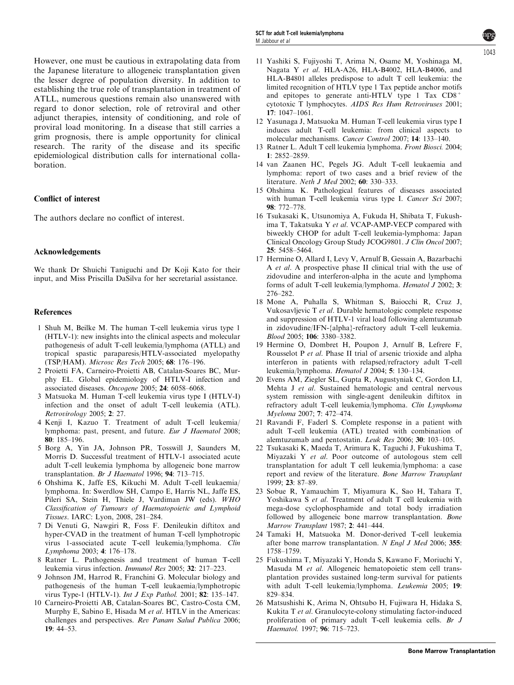<span id="page-4-0"></span>establishing the true role of transplantation in treatment of ATLL, numerous questions remain also unanswered with regard to donor selection, role of retroviral and other adjunct therapies, intensity of conditioning, and role of proviral load monitoring. In a disease that still carries a grim prognosis, there is ample opportunity for clinical research. The rarity of the disease and its specific epidemiological distribution calls for international collaboration.

#### Conflict of interest

The authors declare no conflict of interest.

#### Acknowledgements

We thank Dr Shuichi Taniguchi and Dr Koji Kato for their input, and Miss Priscilla DaSilva for her secretarial assistance.

#### References

- 1 Shuh M, Beilke M. The human T-cell leukemia virus type 1 (HTLV-1): new insights into the clinical aspects and molecular pathogenesis of adult T-cell leukemia/lymphoma (ATLL) and tropical spastic paraparesis/HTLV-associated myelopathy (TSP/HAM). Microsc Res Tech 2005; 68: 176–196.
- 2 Proietti FA, Carneiro-Proietti AB, Catalan-Soares BC, Murphy EL. Global epidemiology of HTLV-I infection and associated diseases. Oncogene 2005; 24: 6058–6068.
- 3 Matsuoka M. Human T-cell leukemia virus type I (HTLV-I) infection and the onset of adult T-cell leukemia (ATL). Retrovirology 2005; 2: 27.
- 4 Kenji I, Kazuo T. Treatment of adult T-cell leukemia/ lymphoma: past, present, and future. Eur J Haematol 2008; 80: 185–196.
- 5 Borg A, Yin JA, Johnson PR, Tosswill J, Saunders M, Morris D. Successful treatment of HTLV-1 associated acute adult T-cell leukemia lymphoma by allogeneic bone marrow transplantation. Br J Haematol 1996; 94: 713–715.
- 6 Ohshima K, Jaffe ES, Kikuchi M. Adult T-cell leukaemia/ lymphoma. In: Swerdlow SH, Campo E, Harris NL, Jaffe ES, Pileri SA, Stein H, Thiele J, Vardiman JW (eds). WHO Classification of Tumours of Haematopoietic and Lymphoid Tissues. IARC: Lyon, 2008, 281–284.
- 7 Di Venuti G, Nawgiri R, Foss F. Denileukin diftitox and hyper-CVAD in the treatment of human T-cell lymphotropic virus 1-associated acute T-cell leukemia/lymphoma. Clin Lymphoma 2003; 4: 176–178.
- 8 Ratner L. Pathogenesis and treatment of human T-cell leukemia virus infection. Immunol Res 2005; 32: 217–223.
- 9 Johnson JM, Harrod R, Franchini G. Molecular biology and pathogenesis of the human T-cell leukaemia/lymphotropic virus Type-1 (HTLV-1). Int J Exp Pathol. 2001; 82: 135–147.
- 10 Carneiro-Proietti AB, Catalan-Soares BC, Castro-Costa CM, Murphy E, Sabino E, Hisada M et al. HTLV in the Americas: challenges and perspectives. Rev Panam Salud Publica 2006; 19: 44–53.
- 11 Yashiki S, Fujiyoshi T, Arima N, Osame M, Yoshinaga M, Nagata Y et al. HLA-A26, HLA-B4002, HLA-B4006, and HLA-B4801 alleles predispose to adult T cell leukemia: the limited recognition of HTLV type 1 Tax peptide anchor motifs and epitopes to generate anti-HTLV type 1 Tax CD8<sup>+</sup> cytotoxic T lymphocytes. AIDS Res Hum Retroviruses 2001; 17: 1047–1061.
- 12 Yasunaga J, Matsuoka M. Human T-cell leukemia virus type I induces adult T-cell leukemia: from clinical aspects to molecular mechanisms. Cancer Control 2007; 14: 133–140.
- 13 Ratner L. Adult T cell leukemia lymphoma. Front Biosci. 2004; 1: 2852–2859.
- 14 van Zaanen HC, Pegels JG. Adult T-cell leukaemia and lymphoma: report of two cases and a brief review of the literature. Neth J Med 2002; 60: 330–333.
- 15 Ohshima K. Pathological features of diseases associated with human T-cell leukemia virus type I. Cancer Sci 2007; 98: 772–778.
- 16 Tsukasaki K, Utsunomiya A, Fukuda H, Shibata T, Fukushima T, Takatsuka Y et al. VCAP-AMP-VECP compared with biweekly CHOP for adult T-cell leukemia-lymphoma: Japan Clinical Oncology Group Study JCOG9801. J Clin Oncol 2007; 25: 5458–5464.
- 17 Hermine O, Allard I, Levy V, Arnulf B, Gessain A, Bazarbachi A et al. A prospective phase II clinical trial with the use of zidovudine and interferon-alpha in the acute and lymphoma forms of adult T-cell leukemia/lymphoma. Hematol J 2002; 3: 276–282.
- 18 Mone A, Puhalla S, Whitman S, Baiocchi R, Cruz J, Vukosavljevic T et al. Durable hematologic complete response and suppression of HTLV-1 viral load following alemtuzumab in zidovudine/IFN-{alpha}-refractory adult T-cell leukemia. Blood 2005; 106: 3380–3382.
- 19 Hermine O, Dombret H, Poupon J, Arnulf B, Lefrere F, Rousselot P et al. Phase II trial of arsenic trioxide and alpha interferon in patients with relapsed/refractory adult T-cell leukemia/lymphoma. Hematol J 2004; 5: 130–134.
- 20 Evens AM, Ziegler SL, Gupta R, Augustyniak C, Gordon LI, Mehta J et al. Sustained hematologic and central nervous system remission with single-agent denileukin diftitox in refractory adult T-cell leukemia/lymphoma. Clin Lymphoma Myeloma 2007; 7: 472–474.
- 21 Ravandi F, Faderl S. Complete response in a patient with adult T-cell leukemia (ATL) treated with combination of alemtuzumab and pentostatin. Leuk Res 2006; 30: 103–105.
- 22 Tsukasaki K, Maeda T, Arimura K, Taguchi J, Fukushima T, Miyazaki Y et al. Poor outcome of autologous stem cell transplantation for adult T cell leukemia/lymphoma: a case report and review of the literature. Bone Marrow Transplant 1999; 23: 87–89.
- 23 Sobue R, Yamauchim T, Miyamura K, Sao H, Tahara T, Yoshikawa S et al. Treatment of adult T cell leukemia with mega-dose cyclophosphamide and total body irradiation followed by allogeneic bone marrow transplantation. Bone Marrow Transplant 1987; 2: 441–444.
- 24 Tamaki H, Matsuoka M. Donor-derived T-cell leukemia after bone marrow transplantation. N Engl J Med 2006; 355: 1758–1759.
- 25 Fukushima T, Miyazaki Y, Honda S, Kawano F, Moriuchi Y, Masuda M et al. Allogeneic hematopoietic stem cell transplantation provides sustained long-term survival for patients with adult T-cell leukemia/lymphoma. Leukemia 2005; 19: 829–834.
- 26 Matsushishi K, Arima N, Ohtsubo H, Fujiwara H, Hidaka S, Kukita T et al. Granulocyte-colony stimulating factor-induced proliferation of primary adult T-cell leukemia cells. Br J Haematol. 1997; 96: 715–723.